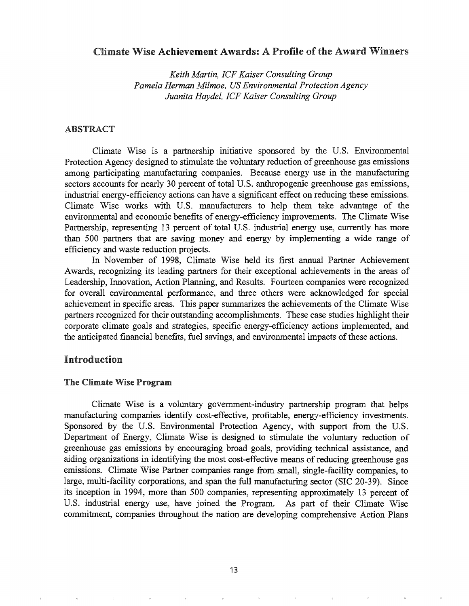# Climate Wise Achievement Awards: A Profile of the Award Winners

*Keith Martin, ICF Kaiser Consulting Group Pamela Herman Milmoe, US Environmental Protection Agency Juanita Haydel, ICF Kaiser Consulting Group*

### ABSTRACT

Climate Wise is a partnership initiative sponsored by the U.S. Environmental Protection Agency designed to stimulate the voluntary reduction of greenhouse gas emissions among participating manufactwing companies. Because energy use in the manufacturing sectors accounts for nearly 30 percent of total U.S. anthropogenic greenhouse gas emissions, industrial energy-efficiency actions can have a significant effect on reducing these emissions. Climate Wise works with U.s. manufacturers to help them take advantage of the environmental and economic benefits of energy-efficiency improvements. The Climate Wise Partnership, representing 13 percent of total U.S. industrial energy use, currently has more than 500 partners that are saving money and energy by implementing a wide range of efficiency and waste reduction projects.

In November of 1998, Climate Wise held its first annual Partner Achievement Awards, recognizing its leading partners for their exceptional achievements in the areas of Leadership, Innovation, Action Planning, and Results. Fourteen companies were recognized for overall environmental performance, and three others were acknowledged for special achievement in specific areas. This paper summarizes the achievements ofthe Climate Wise partners recognized for their outstanding accomplishments. These case studies highlight their corporate climate goals and strategies, specific energy-efficiency actions implemented, and the anticipated financial benefits, fuel savings, and environmental impacts of these actions.

## Introduction

#### The Climate Wise Program

Climate Wise is a voluntary government-industry partnership program that helps manufactwing companies identify cost-effective, profitable, energy-efficiency investments. Sponsored by the U.S. Environmental Protection Agency, with support from the U.S. Department of Energy, Climate Wise is designed to stimulate the voluntary reduction of greenhouse gas emissions by encouraging broad goals, providing technical assistance, and aiding organizations in identifying the most cost-effective means of reducing greenhouse gas emissions. Climate Wise Partner companies range from small, single-facility companies, to large, multi-facility corporations, and span the full manufacturing sector (SIC 20-39). Since its inception 1994, more than 500 companies, representing approximately 13 percent of U.S. industrial energy use, have joined the Program. As part of their Climate Wise commitment, companies throughout the nation are developing comprehensive Action Plans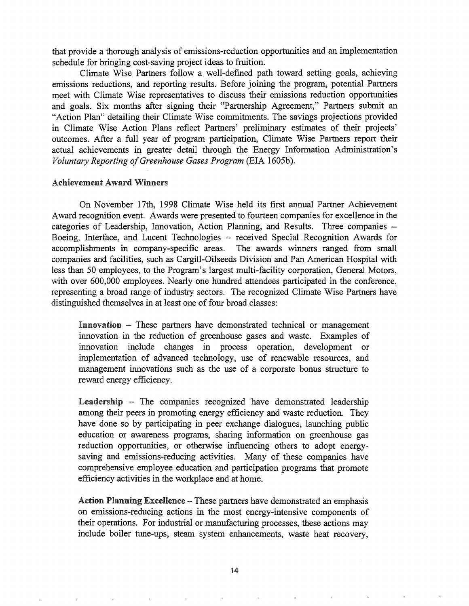that provide a thorough analysis of emissions-reduction opportunities and an implementation schedule for bringing cost-saving project ideas to fruition.

Climate Wise Partners follow a well-defined path toward setting goals, achieving emissions reductions, and reporting results. Before joining the program, potential Partners meet with Climate Wise representatives to discuss their emissions reduction opportunities and goals. Six months after signing their "Partnership Agreement," Partners submit an "Action Plan" detailing their Climate Wise commitments. The savings projections provided in Climate Wise Action Plans reflect Partners' preliminary estimates of their projects' outcomes. After a full year of program participation, Climate Wise Partners report their actual achievements in greater detail through the Energy Information Administration's *Voluntary Reporting ofGreenhouse Gases Program* (EIA 1605b).

#### Achievement Award Winners

On November 17th, 1998 Climate Wise held its first annual Partner Achievement Award recognition event. Awards were presented to fourteen companies for excellence in the categories of Leadership, Innovation, Action Planning, and Results. Three companies -- Boeing, Interface, and Lucent Technologies -- received Special Recognition Awards for accomplishments in company-specific areas. The awards winners ranged from small companies and facilities, such as Cargill-Oilseeds Division and Pan American Hospital with less than 50 employees, to the Program's largest multi-facility corporation, General Motors, with over 600,000 employees. Nearly one hundred attendees participated in the conference, representing a broad range of industry sectors. The recognized Climate Wise Partners have distinguished themselves in at least one of four broad classes:

 $\text{Innovation}$  - These partners have demonstrated technical or management innovation in the reduction of greenhouse gases and waste. Examples of innovation include changes in process operation, development or implementation of advanced technology, use of renewable resources, and management innovations such as the use of a corporate bonus structure to reward energy efficiency.

Leadership - The companies recognized have demonstrated leadership among their peers in promoting energy efficiency and waste reduction. They have done so by participating in peer exchange dialogues, launching public education or awareness programs, sharing information on greenhouse gas reduction opportunities, or otherwise influencing others to adopt energysaving and emissions-reducing activities. Many of these companies have comprehensive employee education and participation programs that promote efficiency activities in the workplace and at home.

Action Planning Excellence - These partners have demonstrated an emphasis on emissions-reducing actions in the most energy-intensive components of their operations. For industrial or manufacturing processes, these actions may include boiler tune-ups, steam system enhancements, waste heat recovery,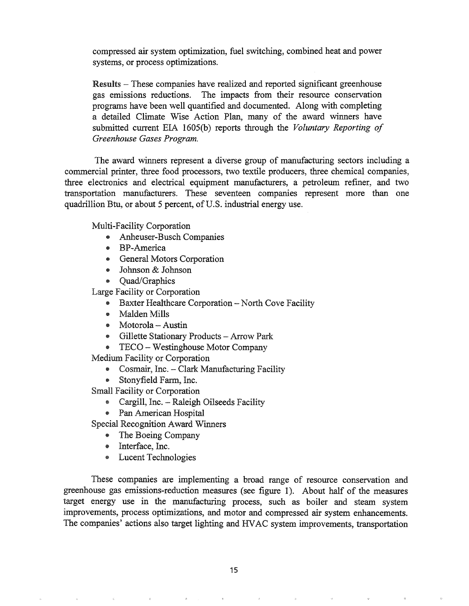compressed air system optimization, fuel switching, combined heat and power systems, or process optimizations.

Results - These companies have realized and reported significant greenhouse gas emissions reductions. The impacts from their resource conservation programs have been well quantified and documented. Along with completing a detailed Climate Wise Action Plan, many of the award winners have submitted current EIA 1605(b) reports through the *Voluntary Reporting of Greenhouse Gases Program.*

The award winners represent a diverse group of manufacturing sectors including a commercial printer, three food processors, two textile producers, three chemical companies, three electronics and electrical equipment manufacturers, a petroleum refiner, and two transportation manufacturers. These seventeen companies represent more than one quadrillion Btu, or about 5 percent, of U.S. industrial energy use.

Multi-Facility Corporation

- Anheuser-Busch Companies
- .. BP-America
- e General Motors Corporation
- Johnson & Johnson
- Quad/Graphics

Large Facility or Corporation

- Baxter Healthcare Corporation North Cove Facility
- 4& Malden Mills
- $\bullet$  Motorola Austin
- @ Gillette Stationary Products Arrow Park
- @ TECO Westinghouse Motor Company

Medium Facility or Corporation

- Cosmair, Inc. Clark Manufacturing Facility
- Stonyfield Farm, Inc.

Small Facility or Corporation

- Cargill, Inc. Raleigh Oilseeds Facility
- Pan American Hospital

Special Recognition Award Winners

- The Boeing Company
- Interface, Inc.
- @ Lucent Technologies

These companies are implementing a broad range of resource conservation and greenhouse gas emissions-reduction measures (see figure 1). About half of the measures target energy use in the manufacturing process, such as boiler and steam system improvements, process optimizations, and motor and compressed air system enhancements. The companies' actions also target lighting and HVAC system improvements, transportation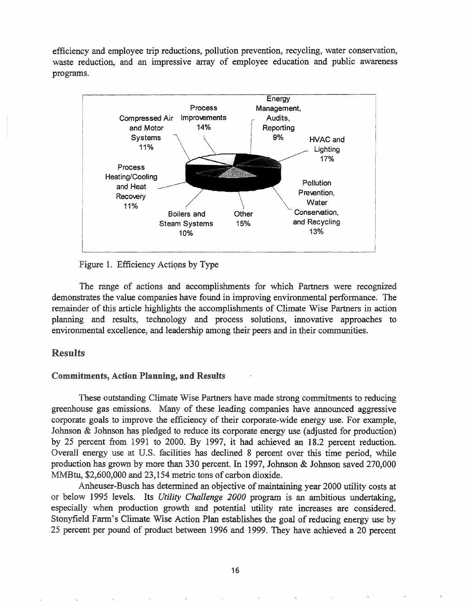efficiency and employee trip reductions, pollution prevention, recycling, water conservation, waste reduction, and an impressive array of employee education and public awareness programs.



Figure 1. Efficiency Actions by Type

The range of actions and accomplishments for which Partners were recognized demonstrates the value companies have found in improving environmental performance. The remainder of this article highlights the accomplishments of Climate Wise Partners in action planning and results, technology and process solutions, innovative approaches to environmental excellence, and leadership among their peers and in their communities.

## Results

#### Commitments, Action Planning, and Results

These outstanding Climate Wise Partners have made strong commitments to reducing greenhouse gas emissions~ Many of these leading companies have announced aggressive corporate goals to improve the efficiency of their corporate-wide energy use. For example, Johnson & Johnson has pledged to reduce its corporate energy use (adjusted for production) by 25 percent from 1991 to 2000. By 1997, it had achieved an 18.2 percent reduction. Overall energy use at U.S. facilities has declined 8 percent over this time period, while production has grown by more than 330 percent. In 1997, Johnson & Johnson saved 270,000 MMBtu, \$2,600,000 and 23,154 metric tons of carbon dioxide.

Anheuser-Busch has determined an objective of maintaining year 2000 utility costs at or below 1995 levels. Its *Utility Challenge 2000* program is an ambitious undertaking, especially when production growth and potential utility rate increases are considered. Stonyfield Farm's Climate Wise Action Plan establishes the goal of reducing energy use by 25 percent per pound of product between 1996 and 1999. They have achieved a 20 percent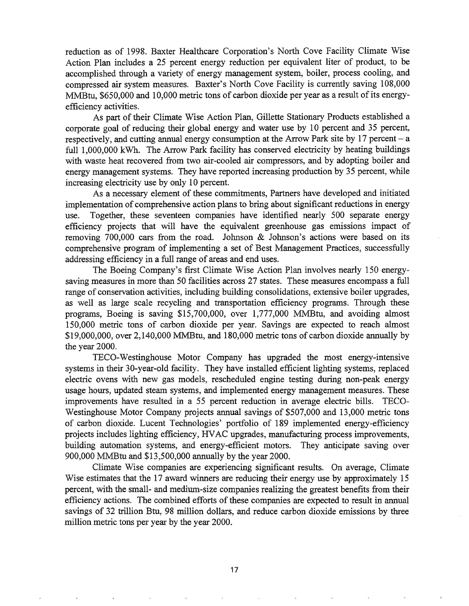reduction as of 1998. Baxter Healthcare Corporation's North Cove Facility Climate Wise Action Plan includes a 25 percent energy reduction per equivalent liter of product, to be accomplished through a variety of energy management system, boiler, process cooling, and compressed air system measures. Baxter's North Cove Facility is currently saving 108,000 MMBtu, \$650,000 and 10,000 metric tons of carbon dioxide per year as a result of its energyefficiency activities.

As part of their Climate Wise Action Plan, Gillette Stationary Products established a corporate goal of reducing their global energy and water use by 10 percent and 35 percent, respectively, and cutting annual energy consumption at the Arrow Park site by  $17$  percent  $-$  a full 1,000,000 kWh. The Arrow Park facility has conserved electricity by heating buildings with waste heat recovered from two air-cooled air compressors, and by adopting boiler and energy management systems. They have reported increasing production by 35 percent, while energy management systems. They have rependence as increasing electricity use by only 10 percent.

As a necessary element of these commitments, Partners have developed and initiated implementation of comprehensive action plans to bring about significant reductions in energy use. Together, these seventeen companies have identified nearly 500 separate energy efficiency projects that will have the equivalent greenhouse gas emissions impact of removing 700,000 cars from the road. Johnson & Johnson's actions were based on its comprehensive program of implementing a set of Best Management Practices, successfully addressing efficiency in a full range of areas and end uses.

The Boeing Company's first Climate Wise Action Plan involves nearly 150 energysaving measures in more than 50 facilities across 27 states. These measures encompass a full range of conservation activities, including building consolidations, extensive boiler upgrades, as well as large scale recycling and transportation efficiency programs. Through these programs, Boeing is saving  $$15,700,000$ , over  $1,777,000$  MMBtu, and avoiding almost 150,000 metric tons of carbon dioxide per year. Savings are expected to reach almost \$19,000,000, over 2,140,000 MMBtu, and 180,000 metric tons of carbon dioxide annually by the year 2000.

TECO-Westinghouse Motor Company has upgraded the most energy-intensive systems in their 30-year-old facility. They have installed efficient lighting systems, replaced electric ovens with new gas models, rescheduled engine testing during non-peak energy usage hours, updated steam systems, and implemented energy management measures. These improvements have resulted in a 55 percent reduction in average electric bills. TECO-Westinghouse Motor Company projects annual savings of \$507,000 and 13,000 metric tons of carbon dioxide. Lucent Technologies' portfolio of 189 implemented energy-efficiency projects includes lighting efficiency, HVAC upgrades, manufacturing process improvements, building automation systems, and energy-efficient motors. They anticipate saving over 900,000 MMBtu and \$13,500,000 annually by the year 2000.

Climate Wise companies are experiencing significant results. On average, Climate Wise estimates that the 17 award winners are reducing their energy use by approximately 15 percent, with the small- and medium-size companies realizing the greatest benefits from their efficiency actions. The combined efforts of these companies are expected to result in annual savings of 32 trillion Btu, 98 million dollars, and reduce carbon dioxide emissions by three million metric tons per year by the year 2000..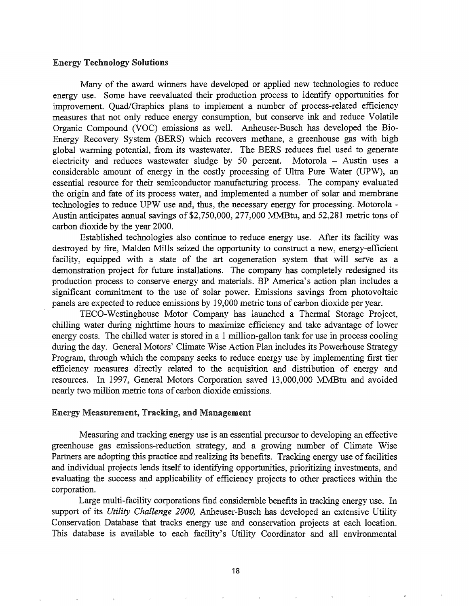### Energy Technology Solutions

Many of the award winners have developed or applied new technologies to reduce energy use. Some have reevaluated their production process to identify opportunities for improvement. Quad/Graphics plans to implement a number of process-related efficiency measures that not only reduce energy consumption, but conserve ink and reduce Volatile Organic Compound (VOC) emissions as well. Anheuser-Busch has developed the Bio-Energy Recovery System (BERS) which recovers methane, a greenhouse gas with high global warming potential, from its wastewater. The BERS reduces fuel used to generate electricity and reduces wastewater sludge by 50 percent. Motorola  $-$  Austin uses a considerable amount of energy in the costly processing of Ultra Pure Water (UPW), an essential resource for their semiconductor manufacturing process. The company evaluated the origin and fate of its process water, and implemented a number of solar and membrane technologies to reduce UPW use and, thus, the necessary energy for processing. Motorola - Austin anticipates annual savings of \$2,750,000, 277,000 MMBtu, and 52,281 metric tons of carbon dioxide by the year 2000.

Established technologies also continue to reduce energy use. After its facility was destroyed by fire, Malden Mills seized the opportunity to construct a new, energy-efficient facility, equipped with a state of the art cogeneration system that will serve as a demonstration project for future installations. The company has completely redesigned its production process to conserve energy and materials. BP America's action plan includes a significant commitment to the use of solar power. Emissions savings from photovoltaic panels are expected to reduce emissions by 19,000 metric tons of carbon dioxide per year.

TECO-Westinghouse Motor Company has launched a Thermal Storage Project, chilling water during nighttime hours to maximize efficiency and take advantage of lower energy costs. The chilled water is stored in a 1 million-gallon tank for use in process cooling during the day. General Motors' Climate Wise Action Plan includes its Powerhouse Strategy Program, through which the company seeks to reduce energy use by implementing first tier efficiency measures directly related to the acquisition and distribution of energy and resources. In 1997, General Motors Corporation saved 13,000,000 MMBtu and ayoided nearly two million metric tons of carbon dioxide emissions~

### Energy Measurement, Tracking, and Management

Measuring and tracking energy use is an essential precursor to developing an effective greenhouse gas emissions-reduction strategy, and a growing number of Climate Wise Partners are adopting this practice and realizing its benefits. Tracking energy use of facilities and individual projects lends itself to identifying opportunities, prioritizing investments, and evaluating the success and applicability of efficiency projects to other practices within the corporation.

Large multi-facility corporations find considerable benefits in tracking energy use. In support of its *Utility Challenge 2000,* Anheuser-Busch has developed an extensive Utility Conservation Database that tracks energy use and conservation projects at each location. This database is available to each facility's Utility Coordinator and all environmental

18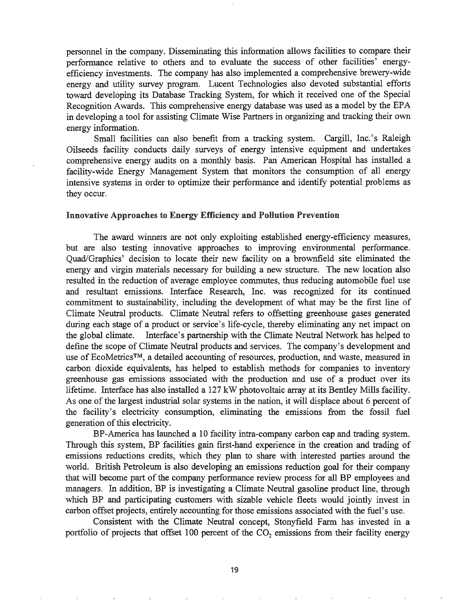personnel in the company. Disseminating this information allows facilities to compare their performance relative to others and to evaluate the success of other facilities' energyefficiency investments. The company has also implemented a comprehensive brewery-wide energy and utility survey program. Lucent Technologies also devoted substantial efforts toward developing its Database Tracking System, for which it received one of the Special Recognition Awards. This comprehensive energy database was used as a model by the EPA in developing a tool for assisting Climate Wise Partners in organizing and tracking their own energy information.

Small facilities can also benefit from a tracking system. Cargill, Inc.'s Raleigh Oilseeds facility conducts daily surveys of energy intensive equipment and undertakes comprehensive energy audits on a monthly basis. Pan American Hospital has installed a facility-wide Energy Management System that monitors the consumption of all energy intensive systems in order to optimize their performance and identify potential problems as they occur.

#### Innovative Approaches to Energy Efficiency and Pollution Prevention

The award winners are not only exploiting established energy-efficiency measures, but are also testing innovative approaches to improving environmental performance. Quad/Graphics' decision to locate their new facility on a brownfield site eliminated the energy and virgin materials necessary for building a new structure. The new location also resulted in the reduction of average employee commutes, thus reducing automobile fuel use and resultant emissions. Interface Research, Inc. was recognized for its continued commitment to sustainability, including the development of what may be the first line of Climate Neutral products. Climate Neutral refers to offsetting greenhouse gases generated during each stage of a product or service's life-cycle, thereby eliminating any net impact on the global climate. Interface's partnership with the Climate Neutral Network has helped to define the scope of Climate Neutral products and services. The company's development and use of EcoMetrics<sup>™</sup>, a detailed accounting of resources, production, and waste, measured in carbon dioxide equivalents, has helped to establish methods for companies to inventory greenhouse gas emissions associated with the production and use of a product over its lifetime. Interface has also installed a 127 kW photovoltaic array at its Bentley Mills facility. As one of the largest industrial solar systems in the nation, it will displace about 6 percent of the facility's electricity consumption, eliminating the emissions from the fossil fuel generation of this electricity.

BP-America has launched a 10 facility intra-company carbon cap and trading system. Through this system, BP facilities gain first-hand experience in the creation and trading of emissions reductions credits, which they plan to share with interested parties around the world. British Petroleum is also developing an emissions reduction goal for their company that will become part of the company performance review process for all BP employees and managers. In addition, BP is investigating a Climate Neutral gasoline product line, through which BP and participating customers with sizable vehicle fleets would jointly invest in carbon offset projects, entirely accounting for those emissions associated with the fuel's use.

Consistent with the Climate Neutral concept, Stonyfield Farm has invested in a portfolio of projects that offset 100 percent of the  $CO<sub>2</sub>$  emissions from their facility energy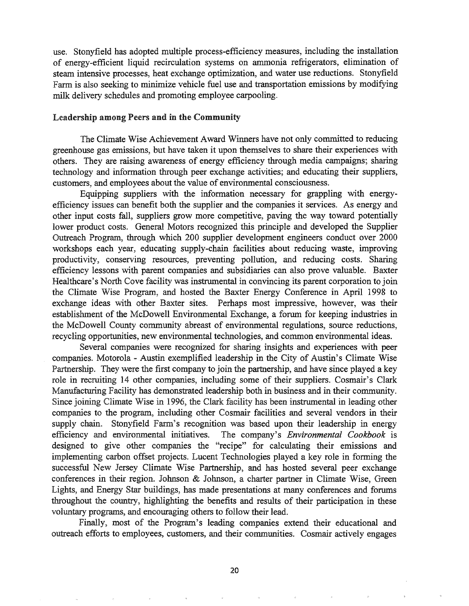use. Stonyfield has adopted multiple process-efficiency measures, including the installation of energy-efficient liquid recirculation systems on ammonia refrigerators, elimination of steam intensive processes, heat exchange optimization, and water use reductions. Stonyfield Farm is also seeking to minimize vehicle fuel use and transportation emissions by modifying milk delivery schedules and promoting employee carpooling.

#### Leadership among Peers and in the Community

The Climate Wise Achievement Award Winners have not only committed to reducing greenhouse gas emissions, but have taken it upon themselves to share their experiences with others. They are raising awareness of energy efficiency through media campaigns; sharing technology and information through peer exchange activities; and educating their suppliers, customers, and employees about the value of environmental consciousness.

Equipping suppliers with the information necessary for grappling with energyefficiency issues can benefit both the supplier and the companies it services. As energy and other input costs fall, suppliers grow more competitive, paving the way toward potentially lower product costs. General Motors recognized this principle and developed the Supplier Outreach Program, through which 200 supplier development engineers conduct over 2000 workshops each year, educating supply-chain facilities about reducing waste, improving productivity, conserving resources, preventing pollution, and reducing costs. Sharing efficiency lessons with parent companies and subsidiaries can also prove valuable. Baxter Healthcare's North Cove facility was instrumental in convincing its parent corporation to join the Climate Wise Program, and hosted the Baxter Energy Conference in April 1998 to exchange ideas with other Baxter sites. Perhaps most impressive, however, was their establishment of the McDowell Environmental Exchange, a forum for keeping industries in the McDowell County community abreast of environmental regulations, source reductions, recycling opportunities, new environmental technologies, and common environmental ideas.

Several companies were recognized for sharing insights and experiences with peer companies. Motorola - Austin exemplified leadership in the City of Austin's Climate Wise Partnership. They were the first company to join the partnership, and have since played a key role in recruiting 14 other companies, including some of their suppliers. Cosmair's Clark Manufacturing Facility has demonstrated leadership both in business and in their community. Since joining Climate Wise in 1996, the Clark facility has been instrumental in leading other companies to the program, including other Cosmair facilities and several vendors in their supply chain.. Stonyfield Farm's recognition was based upon their leadership in energy efficiency and environmental initiatives. The company's *Environmental Cookbook* is designed to give other companies the "recipe" for calculating their emissions and implementing carbon offset projects.. Lucent Technologies played a key role in forming the successful New Jersey Climate Wise Partnership, and has hosted several peer exchange conferences in their region. Johnson & Johnson, a charter partner in Climate Wise, Green Lights, and Energy Star buildings, has made presentations at many conferences and forums throughout the country, highlighting the benefits and results of their participation in these voluntary programs, and encouraging others to follow their lead.

Finally, most of the Program's leading companies extend their educational and outreach efforts to employees, customers, and their communities. Cosmair actively engages